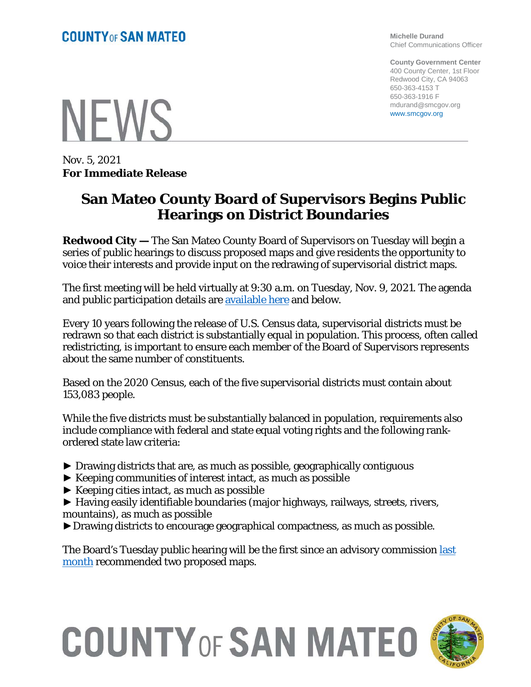**Michelle Durand** Chief Communications Officer

**County Government Center** 400 County Center, 1st Floor Redwood City, CA 94063 650-363-4153 T 650-363-1916 F mdurand@smcgov.org www.smcgov.org

**NFWS** 

Nov. 5, 2021 **For Immediate Release**

## **San Mateo County Board of Supervisors Begins Public Hearings on District Boundaries**

**Redwood City —** The San Mateo County Board of Supervisors on Tuesday will begin a series of public hearings to discuss proposed maps and give residents the opportunity to voice their interests and provide input on the redrawing of supervisorial district maps.

The first meeting will be held virtually at 9:30 a.m. on Tuesday, Nov. 9, 2021. The agenda and public participation details are [available here](https://sanmateocounty.legistar.com/View.ashx?M=A&ID=807826&GUID=388312DE-061F-4996-8FF0-B0E12BD6AD26) and below.

Every 10 years following the release of U.S. Census data, supervisorial districts must be redrawn so that each district is substantially equal in population. This process, often called redistricting, is important to ensure each member of the Board of Supervisors represents about the same number of constituents.

Based on the 2020 Census, each of the five supervisorial districts must contain about 153,083 people.

While the five districts must be substantially balanced in population, requirements also include compliance with federal and state equal voting rights and the following rankordered state law criteria:

- ► Drawing districts that are, as much as possible, geographically contiguous
- ► Keeping communities of interest intact, as much as possible
- $\blacktriangleright$  Keeping cities intact, as much as possible
- ► Having easily identifiable boundaries (major highways, railways, streets, rivers, mountains), as much as possible
- ►Drawing districts to encourage geographical compactness, as much as possible.

The Board's Tuesday public hearing will be the first since an advisory commission last [month](https://cmo.smcgov.org/press-release/redistricting-commission-sends-draft-maps-board-supervisors) recommended two proposed maps.

## **COUNTY OF SAN MATEO**

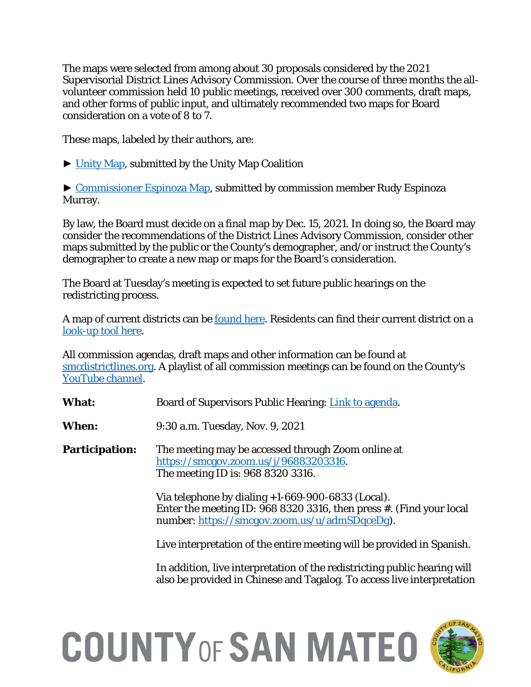The maps were selected from among about 30 proposals considered by the 2021 Supervisorial District Lines Advisory Commission. Over the course of three months the allvolunteer commission held 10 public meetings, received over 300 comments, draft maps, and other forms of public input, and ultimately recommended two maps for Board consideration on a vote of 8 to 7.

These maps, labeled by their authors, are:

► [Unity Map,](https://smcdistrictlines.org/wp-content/uploads/2021/10/Unity-Map.pdf) submitted by the Unity Map Coalition

► [Commissioner Espinoza Map,](https://smcdistrictlines.org/wp-content/uploads/2021/10/Comm-Espinoza.pdf) submitted by commission member Rudy Espinoza Murray.

By law, the Board must decide on a final map by Dec. 15, 2021. In doing so, the Board may consider the recommendations of the District Lines Advisory Commission, consider other maps submitted by the public or the County's demographer, and/or instruct the County's demographer to create a new map or maps for the Board's consideration.

The Board at Tuesday's meeting is expected to set future public hearings on the redistricting process.

A map of current districts can be <u>found here</u>. Residents can find their current district on a [look-up tool here.](https://bos.smcgov.org/supervisorial-districts)

All commission agendas, draft maps and other information can be found at [smcdistrictlines.org.](https://smcdistrictlines.org/wp-content/uploads/2021/10/DLAC-Agenda-20210928.pdf) A playlist of all commission meetings can be found on the County's [YouTube channel.](https://www.youtube.com/playlist?list=PLvrcFuwLyzqOEE8cr9az3lhXxZJ5AmmyO)

**What:** Board of Supervisors Public Hearing: [Link to agenda.](https://sanmateocounty.legistar.com/View.ashx?M=A&ID=807826&GUID=388312DE-061F-4996-8FF0-B0E12BD6AD26)

**When:** 9:30 a.m. Tuesday, Nov. 9, 2021

**Participation:** The meeting may be accessed through Zoom online at [https://smcgov.zoom.us/j/96883203316.](https://smcgov.zoom.us/j/96883203316) The meeting ID is: 968 8320 3316.

> Via telephone by dialing +1-669-900-6833 (Local). Enter the meeting ID: 968 8320 3316, then press #. (Find your local number: [https://smcgov.zoom.us/u/admSDqceDg\)](https://smcgov.zoom.us/u/admSDqceDg).

> Live interpretation of the entire meeting will be provided in Spanish.

In addition, live interpretation of the redistricting public hearing will also be provided in Chinese and Tagalog. To access live interpretation

## **COUNTY OF SAN MATEO**